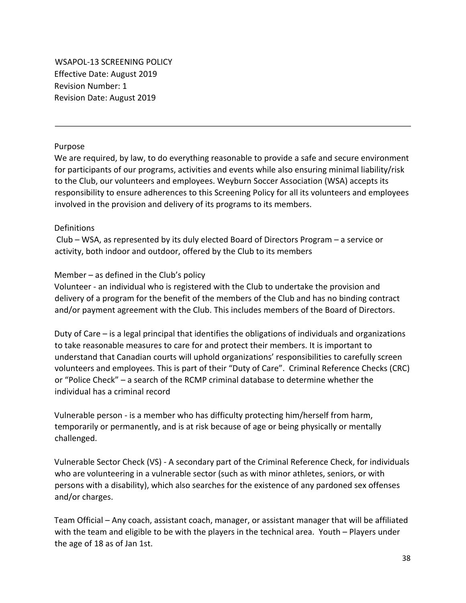WSAPOL-13 SCREENING POLICY Effective Date: August 2019 Revision Number: 1 Revision Date: August 2019

### Purpose

We are required, by law, to do everything reasonable to provide a safe and secure environment for participants of our programs, activities and events while also ensuring minimal liability/risk to the Club, our volunteers and employees. Weyburn Soccer Association (WSA) accepts its responsibility to ensure adherences to this Screening Policy for all its volunteers and employees involved in the provision and delivery of its programs to its members.

### **Definitions**

Club – WSA, as represented by its duly elected Board of Directors Program – a service or activity, both indoor and outdoor, offered by the Club to its members

### Member – as defined in the Club's policy

Volunteer - an individual who is registered with the Club to undertake the provision and delivery of a program for the benefit of the members of the Club and has no binding contract and/or payment agreement with the Club. This includes members of the Board of Directors.

Duty of Care – is a legal principal that identifies the obligations of individuals and organizations to take reasonable measures to care for and protect their members. It is important to understand that Canadian courts will uphold organizations' responsibilities to carefully screen volunteers and employees. This is part of their "Duty of Care". Criminal Reference Checks (CRC) or "Police Check" – a search of the RCMP criminal database to determine whether the individual has a criminal record

Vulnerable person - is a member who has difficulty protecting him/herself from harm, temporarily or permanently, and is at risk because of age or being physically or mentally challenged.

Vulnerable Sector Check (VS) - A secondary part of the Criminal Reference Check, for individuals who are volunteering in a vulnerable sector (such as with minor athletes, seniors, or with persons with a disability), which also searches for the existence of any pardoned sex offenses and/or charges.

Team Official – Any coach, assistant coach, manager, or assistant manager that will be affiliated with the team and eligible to be with the players in the technical area. Youth – Players under the age of 18 as of Jan 1st.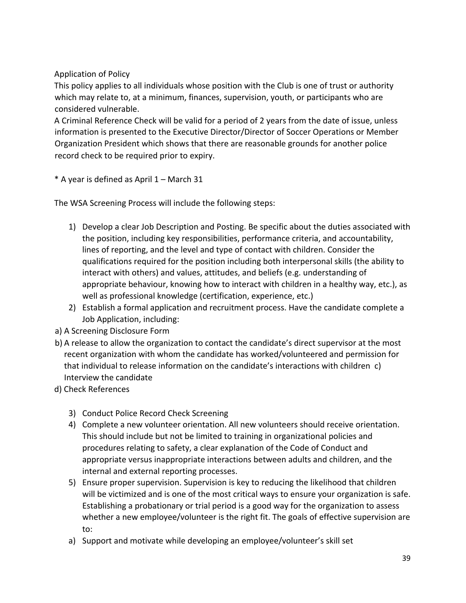Application of Policy

This policy applies to all individuals whose position with the Club is one of trust or authority which may relate to, at a minimum, finances, supervision, youth, or participants who are considered vulnerable.

A Criminal Reference Check will be valid for a period of 2 years from the date of issue, unless information is presented to the Executive Director/Director of Soccer Operations or Member Organization President which shows that there are reasonable grounds for another police record check to be required prior to expiry.

\* A year is defined as April 1 – March 31

The WSA Screening Process will include the following steps:

- 1) Develop a clear Job Description and Posting. Be specific about the duties associated with the position, including key responsibilities, performance criteria, and accountability, lines of reporting, and the level and type of contact with children. Consider the qualifications required for the position including both interpersonal skills (the ability to interact with others) and values, attitudes, and beliefs (e.g. understanding of appropriate behaviour, knowing how to interact with children in a healthy way, etc.), as well as professional knowledge (certification, experience, etc.)
- 2) Establish a formal application and recruitment process. Have the candidate complete a Job Application, including:
- a) A Screening Disclosure Form
- b) A release to allow the organization to contact the candidate's direct supervisor at the most recent organization with whom the candidate has worked/volunteered and permission for that individual to release information on the candidate's interactions with children c) Interview the candidate
- d) Check References
	- 3) Conduct Police Record Check Screening
	- 4) Complete a new volunteer orientation. All new volunteers should receive orientation. This should include but not be limited to training in organizational policies and procedures relating to safety, a clear explanation of the Code of Conduct and appropriate versus inappropriate interactions between adults and children, and the internal and external reporting processes.
	- 5) Ensure proper supervision. Supervision is key to reducing the likelihood that children will be victimized and is one of the most critical ways to ensure your organization is safe. Establishing a probationary or trial period is a good way for the organization to assess whether a new employee/volunteer is the right fit. The goals of effective supervision are to:
	- a) Support and motivate while developing an employee/volunteer's skill set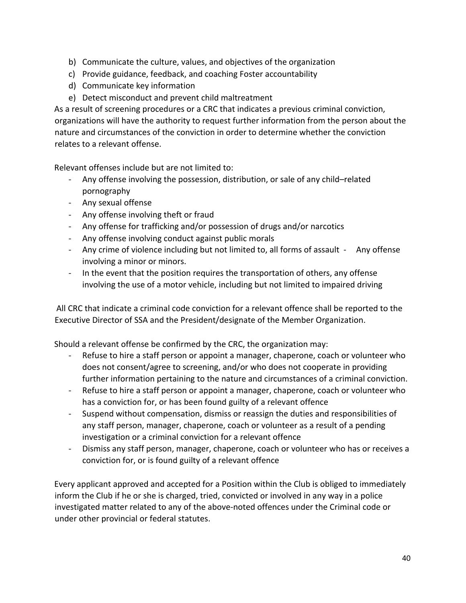- b) Communicate the culture, values, and objectives of the organization
- c) Provide guidance, feedback, and coaching Foster accountability
- d) Communicate key information
- e) Detect misconduct and prevent child maltreatment

As a result of screening procedures or a CRC that indicates a previous criminal conviction, organizations will have the authority to request further information from the person about the nature and circumstances of the conviction in order to determine whether the conviction relates to a relevant offense.

Relevant offenses include but are not limited to:

- Any offense involving the possession, distribution, or sale of any child–related pornography
- Any sexual offense
- Any offense involving theft or fraud
- Any offense for trafficking and/or possession of drugs and/or narcotics
- Any offense involving conduct against public morals
- Any crime of violence including but not limited to, all forms of assault Any offense involving a minor or minors.
- In the event that the position requires the transportation of others, any offense involving the use of a motor vehicle, including but not limited to impaired driving

All CRC that indicate a criminal code conviction for a relevant offence shall be reported to the Executive Director of SSA and the President/designate of the Member Organization.

Should a relevant offense be confirmed by the CRC, the organization may:

- Refuse to hire a staff person or appoint a manager, chaperone, coach or volunteer who does not consent/agree to screening, and/or who does not cooperate in providing further information pertaining to the nature and circumstances of a criminal conviction.
- Refuse to hire a staff person or appoint a manager, chaperone, coach or volunteer who has a conviction for, or has been found guilty of a relevant offence
- Suspend without compensation, dismiss or reassign the duties and responsibilities of any staff person, manager, chaperone, coach or volunteer as a result of a pending investigation or a criminal conviction for a relevant offence
- Dismiss any staff person, manager, chaperone, coach or volunteer who has or receives a conviction for, or is found guilty of a relevant offence

Every applicant approved and accepted for a Position within the Club is obliged to immediately inform the Club if he or she is charged, tried, convicted or involved in any way in a police investigated matter related to any of the above-noted offences under the Criminal code or under other provincial or federal statutes.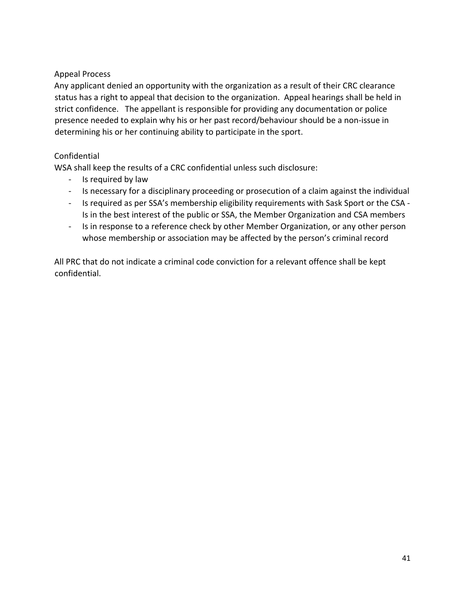## Appeal Process

Any applicant denied an opportunity with the organization as a result of their CRC clearance status has a right to appeal that decision to the organization. Appeal hearings shall be held in strict confidence. The appellant is responsible for providing any documentation or police presence needed to explain why his or her past record/behaviour should be a non-issue in determining his or her continuing ability to participate in the sport.

# Confidential

WSA shall keep the results of a CRC confidential unless such disclosure:

- Is required by law
- Is necessary for a disciplinary proceeding or prosecution of a claim against the individual
- Is required as per SSA's membership eligibility requirements with Sask Sport or the CSA Is in the best interest of the public or SSA, the Member Organization and CSA members
- Is in response to a reference check by other Member Organization, or any other person whose membership or association may be affected by the person's criminal record

All PRC that do not indicate a criminal code conviction for a relevant offence shall be kept confidential.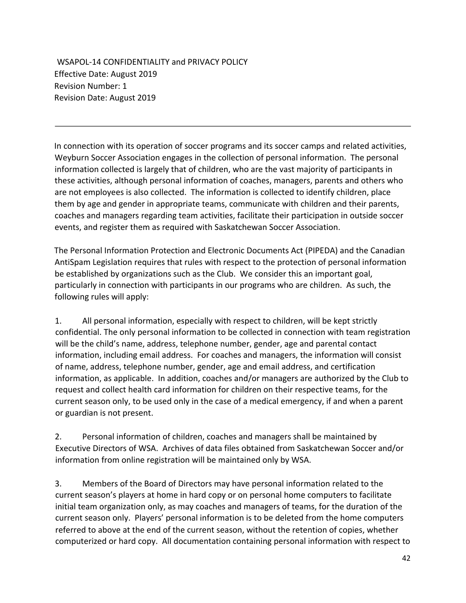WSAPOL-14 CONFIDENTIALITY and PRIVACY POLICY Effective Date: August 2019 Revision Number: 1 Revision Date: August 2019

In connection with its operation of soccer programs and its soccer camps and related activities, Weyburn Soccer Association engages in the collection of personal information. The personal information collected is largely that of children, who are the vast majority of participants in these activities, although personal information of coaches, managers, parents and others who are not employees is also collected. The information is collected to identify children, place them by age and gender in appropriate teams, communicate with children and their parents, coaches and managers regarding team activities, facilitate their participation in outside soccer events, and register them as required with Saskatchewan Soccer Association.

The Personal Information Protection and Electronic Documents Act (PIPEDA) and the Canadian AntiSpam Legislation requires that rules with respect to the protection of personal information be established by organizations such as the Club. We consider this an important goal, particularly in connection with participants in our programs who are children. As such, the following rules will apply:

1. All personal information, especially with respect to children, will be kept strictly confidential. The only personal information to be collected in connection with team registration will be the child's name, address, telephone number, gender, age and parental contact information, including email address. For coaches and managers, the information will consist of name, address, telephone number, gender, age and email address, and certification information, as applicable. In addition, coaches and/or managers are authorized by the Club to request and collect health card information for children on their respective teams, for the current season only, to be used only in the case of a medical emergency, if and when a parent or guardian is not present.

2. Personal information of children, coaches and managers shall be maintained by Executive Directors of WSA. Archives of data files obtained from Saskatchewan Soccer and/or information from online registration will be maintained only by WSA.

3. Members of the Board of Directors may have personal information related to the current season's players at home in hard copy or on personal home computers to facilitate initial team organization only, as may coaches and managers of teams, for the duration of the current season only. Players' personal information is to be deleted from the home computers referred to above at the end of the current season, without the retention of copies, whether computerized or hard copy. All documentation containing personal information with respect to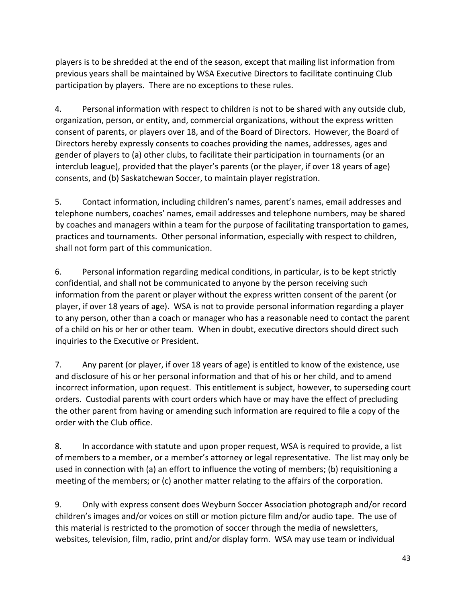players is to be shredded at the end of the season, except that mailing list information from previous years shall be maintained by WSA Executive Directors to facilitate continuing Club participation by players. There are no exceptions to these rules.

4. Personal information with respect to children is not to be shared with any outside club, organization, person, or entity, and, commercial organizations, without the express written consent of parents, or players over 18, and of the Board of Directors. However, the Board of Directors hereby expressly consents to coaches providing the names, addresses, ages and gender of players to (a) other clubs, to facilitate their participation in tournaments (or an interclub league), provided that the player's parents (or the player, if over 18 years of age) consents, and (b) Saskatchewan Soccer, to maintain player registration.

5. Contact information, including children's names, parent's names, email addresses and telephone numbers, coaches' names, email addresses and telephone numbers, may be shared by coaches and managers within a team for the purpose of facilitating transportation to games, practices and tournaments. Other personal information, especially with respect to children, shall not form part of this communication.

6. Personal information regarding medical conditions, in particular, is to be kept strictly confidential, and shall not be communicated to anyone by the person receiving such information from the parent or player without the express written consent of the parent (or player, if over 18 years of age). WSA is not to provide personal information regarding a player to any person, other than a coach or manager who has a reasonable need to contact the parent of a child on his or her or other team. When in doubt, executive directors should direct such inquiries to the Executive or President.

7. Any parent (or player, if over 18 years of age) is entitled to know of the existence, use and disclosure of his or her personal information and that of his or her child, and to amend incorrect information, upon request. This entitlement is subject, however, to superseding court orders. Custodial parents with court orders which have or may have the effect of precluding the other parent from having or amending such information are required to file a copy of the order with the Club office.

8. In accordance with statute and upon proper request, WSA is required to provide, a list of members to a member, or a member's attorney or legal representative. The list may only be used in connection with (a) an effort to influence the voting of members; (b) requisitioning a meeting of the members; or (c) another matter relating to the affairs of the corporation.

9. Only with express consent does Weyburn Soccer Association photograph and/or record children's images and/or voices on still or motion picture film and/or audio tape. The use of this material is restricted to the promotion of soccer through the media of newsletters, websites, television, film, radio, print and/or display form. WSA may use team or individual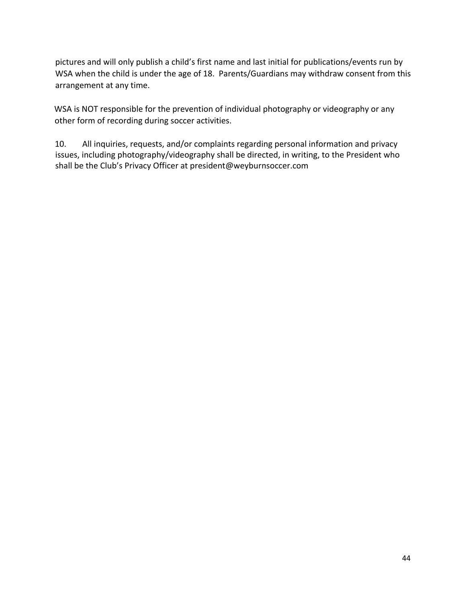pictures and will only publish a child's first name and last initial for publications/events run by WSA when the child is under the age of 18. Parents/Guardians may withdraw consent from this arrangement at any time.

WSA is NOT responsible for the prevention of individual photography or videography or any other form of recording during soccer activities.

10. All inquiries, requests, and/or complaints regarding personal information and privacy issues, including photography/videography shall be directed, in writing, to the President who shall be the Club's Privacy Officer at president@weyburnsoccer.com